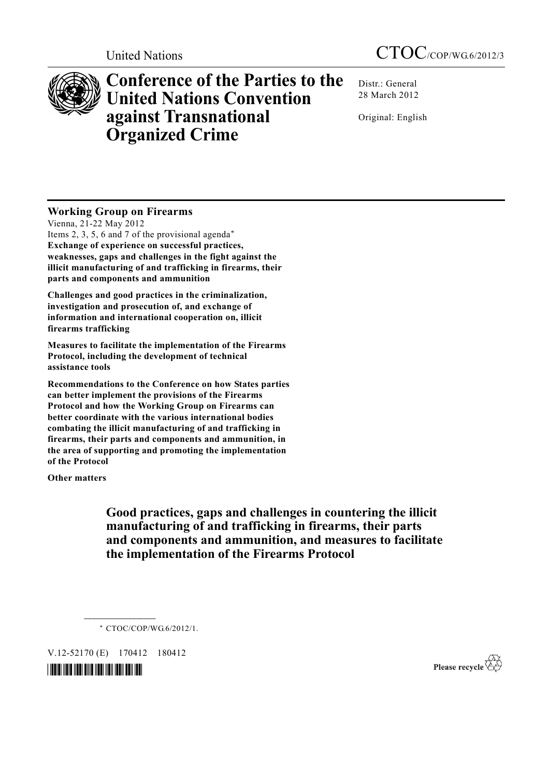

**Conference of the Parties to the United Nations Convention against Transnational Organized Crime** 

Distr.: General 28 March 2012

Original: English

# **Working Group on Firearms**

Vienna, 21-22 May 2012 Items 2, 3, 5, 6 and 7 of the provisional agenda\* **Exchange of experience on successful practices, weaknesses, gaps and challenges in the fight against the illicit manufacturing of and trafficking in firearms, their parts and components and ammunition** 

**Challenges and good practices in the criminalization, investigation and prosecution of, and exchange of information and international cooperation on, illicit firearms trafficking** 

**Measures to facilitate the implementation of the Firearms Protocol, including the development of technical assistance tools** 

**Recommendations to the Conference on how States parties can better implement the provisions of the Firearms Protocol and how the Working Group on Firearms can better coordinate with the various international bodies combating the illicit manufacturing of and trafficking in firearms, their parts and components and ammunition, in the area of supporting and promoting the implementation of the Protocol** 

**Other matters**

# **Good practices, gaps and challenges in countering the illicit manufacturing of and trafficking in firearms, their parts and components and ammunition, and measures to facilitate the implementation of the Firearms Protocol**

\* CTOC/COP/WG.6/2012/1.

V.12-52170 (E) 170412 180412

**\_\_\_\_\_\_\_\_\_\_\_\_\_\_\_\_\_\_** 

*\*1252170\** 

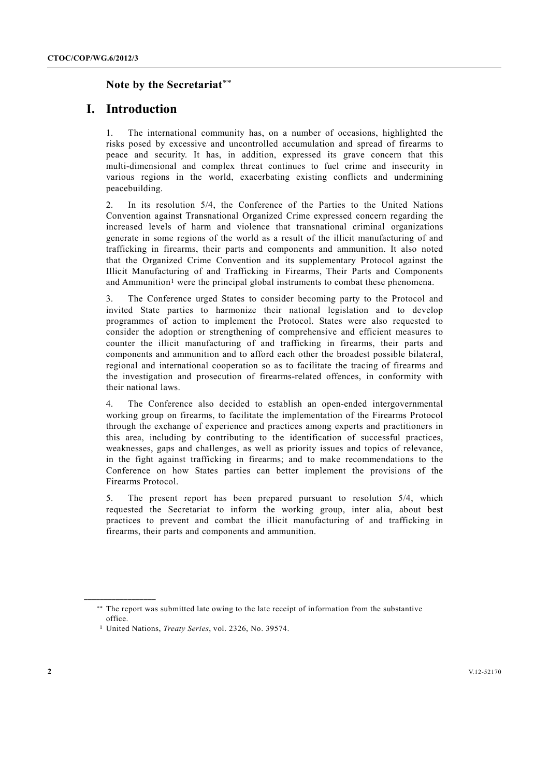## **Note by the Secretariat**\*\*

## **I. Introduction**

1. The international community has, on a number of occasions, highlighted the risks posed by excessive and uncontrolled accumulation and spread of firearms to peace and security. It has, in addition, expressed its grave concern that this multi-dimensional and complex threat continues to fuel crime and insecurity in various regions in the world, exacerbating existing conflicts and undermining peacebuilding.

2. In its resolution 5/4, the Conference of the Parties to the United Nations Convention against Transnational Organized Crime expressed concern regarding the increased levels of harm and violence that transnational criminal organizations generate in some regions of the world as a result of the illicit manufacturing of and trafficking in firearms, their parts and components and ammunition. It also noted that the Organized Crime Convention and its supplementary Protocol against the Illicit Manufacturing of and Trafficking in Firearms, Their Parts and Components and Ammunition1 were the principal global instruments to combat these phenomena.

3. The Conference urged States to consider becoming party to the Protocol and invited State parties to harmonize their national legislation and to develop programmes of action to implement the Protocol. States were also requested to consider the adoption or strengthening of comprehensive and efficient measures to counter the illicit manufacturing of and trafficking in firearms, their parts and components and ammunition and to afford each other the broadest possible bilateral, regional and international cooperation so as to facilitate the tracing of firearms and the investigation and prosecution of firearms-related offences, in conformity with their national laws.

4. The Conference also decided to establish an open-ended intergovernmental working group on firearms, to facilitate the implementation of the Firearms Protocol through the exchange of experience and practices among experts and practitioners in this area, including by contributing to the identification of successful practices, weaknesses, gaps and challenges, as well as priority issues and topics of relevance, in the fight against trafficking in firearms; and to make recommendations to the Conference on how States parties can better implement the provisions of the Firearms Protocol.

5. The present report has been prepared pursuant to resolution 5/4, which requested the Secretariat to inform the working group, inter alia, about best practices to prevent and combat the illicit manufacturing of and trafficking in firearms, their parts and components and ammunition.

**\_\_\_\_\_\_\_\_\_\_\_\_\_\_\_\_\_\_** 

<sup>\*\*</sup> The report was submitted late owing to the late receipt of information from the substantive office.

<sup>1</sup> United Nations, *Treaty Series*, vol. 2326, No. 39574.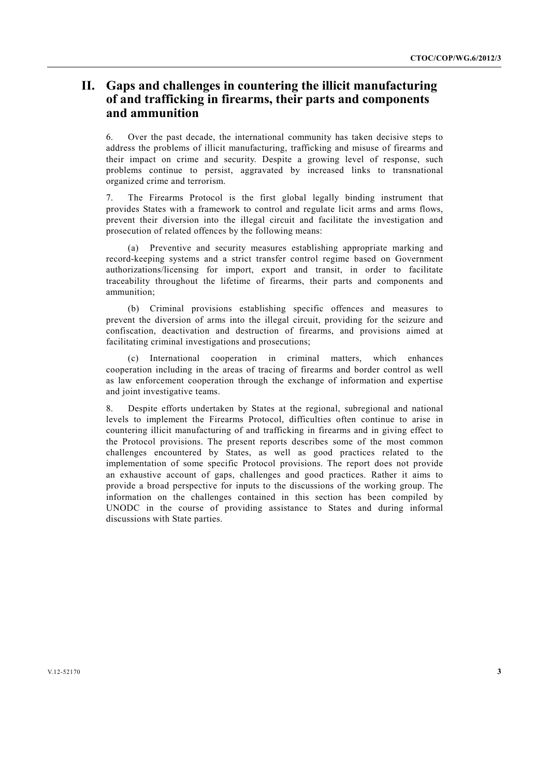# **II. Gaps and challenges in countering the illicit manufacturing of and trafficking in firearms, their parts and components and ammunition**

6. Over the past decade, the international community has taken decisive steps to address the problems of illicit manufacturing, trafficking and misuse of firearms and their impact on crime and security. Despite a growing level of response, such problems continue to persist, aggravated by increased links to transnational organized crime and terrorism.

7. The Firearms Protocol is the first global legally binding instrument that provides States with a framework to control and regulate licit arms and arms flows, prevent their diversion into the illegal circuit and facilitate the investigation and prosecution of related offences by the following means:

 (a) Preventive and security measures establishing appropriate marking and record-keeping systems and a strict transfer control regime based on Government authorizations/licensing for import, export and transit, in order to facilitate traceability throughout the lifetime of firearms, their parts and components and ammunition;

 (b) Criminal provisions establishing specific offences and measures to prevent the diversion of arms into the illegal circuit, providing for the seizure and confiscation, deactivation and destruction of firearms, and provisions aimed at facilitating criminal investigations and prosecutions;

 (c) International cooperation in criminal matters, which enhances cooperation including in the areas of tracing of firearms and border control as well as law enforcement cooperation through the exchange of information and expertise and joint investigative teams.

8. Despite efforts undertaken by States at the regional, subregional and national levels to implement the Firearms Protocol, difficulties often continue to arise in countering illicit manufacturing of and trafficking in firearms and in giving effect to the Protocol provisions. The present reports describes some of the most common challenges encountered by States, as well as good practices related to the implementation of some specific Protocol provisions. The report does not provide an exhaustive account of gaps, challenges and good practices. Rather it aims to provide a broad perspective for inputs to the discussions of the working group. The information on the challenges contained in this section has been compiled by UNODC in the course of providing assistance to States and during informal discussions with State parties.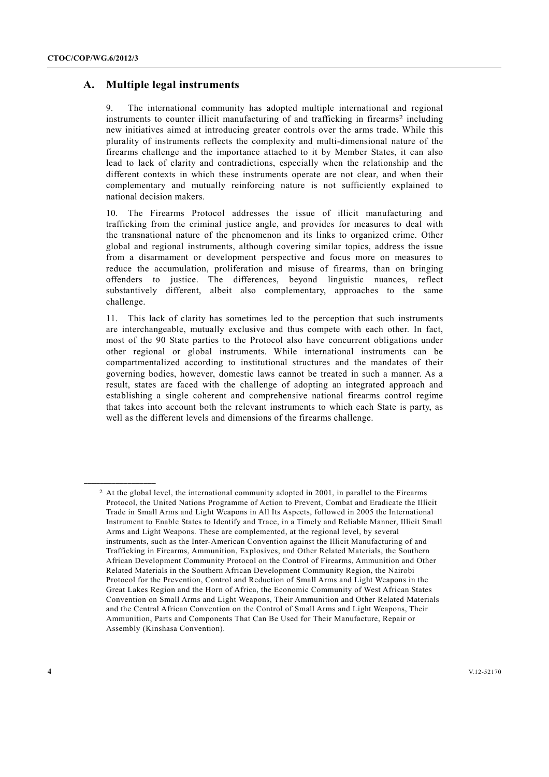# **A. Multiple legal instruments**

9. The international community has adopted multiple international and regional instruments to counter illicit manufacturing of and trafficking in firearms<sup>2</sup> including new initiatives aimed at introducing greater controls over the arms trade. While this plurality of instruments reflects the complexity and multi-dimensional nature of the firearms challenge and the importance attached to it by Member States, it can also lead to lack of clarity and contradictions, especially when the relationship and the different contexts in which these instruments operate are not clear, and when their complementary and mutually reinforcing nature is not sufficiently explained to national decision makers.

10. The Firearms Protocol addresses the issue of illicit manufacturing and trafficking from the criminal justice angle, and provides for measures to deal with the transnational nature of the phenomenon and its links to organized crime. Other global and regional instruments, although covering similar topics, address the issue from a disarmament or development perspective and focus more on measures to reduce the accumulation, proliferation and misuse of firearms, than on bringing offenders to justice. The differences, beyond linguistic nuances, reflect substantively different, albeit also complementary, approaches to the same challenge.

11. This lack of clarity has sometimes led to the perception that such instruments are interchangeable, mutually exclusive and thus compete with each other. In fact, most of the 90 State parties to the Protocol also have concurrent obligations under other regional or global instruments. While international instruments can be compartmentalized according to institutional structures and the mandates of their governing bodies, however, domestic laws cannot be treated in such a manner. As a result, states are faced with the challenge of adopting an integrated approach and establishing a single coherent and comprehensive national firearms control regime that takes into account both the relevant instruments to which each State is party, as well as the different levels and dimensions of the firearms challenge.

**\_\_\_\_\_\_\_\_\_\_\_\_\_\_\_\_\_\_** 

<sup>2</sup> At the global level, the international community adopted in 2001, in parallel to the Firearms Protocol, the United Nations Programme of Action to Prevent, Combat and Eradicate the Illicit Trade in Small Arms and Light Weapons in All Its Aspects, followed in 2005 the International Instrument to Enable States to Identify and Trace, in a Timely and Reliable Manner, Illicit Small Arms and Light Weapons. These are complemented, at the regional level, by several instruments, such as the Inter-American Convention against the Illicit Manufacturing of and Trafficking in Firearms, Ammunition, Explosives, and Other Related Materials, the Southern African Development Community Protocol on the Control of Firearms, Ammunition and Other Related Materials in the Southern African Development Community Region, the Nairobi Protocol for the Prevention, Control and Reduction of Small Arms and Light Weapons in the Great Lakes Region and the Horn of Africa, the Economic Community of West African States Convention on Small Arms and Light Weapons, Their Ammunition and Other Related Materials and the Central African Convention on the Control of Small Arms and Light Weapons, Their Ammunition, Parts and Components That Can Be Used for Their Manufacture, Repair or Assembly (Kinshasa Convention).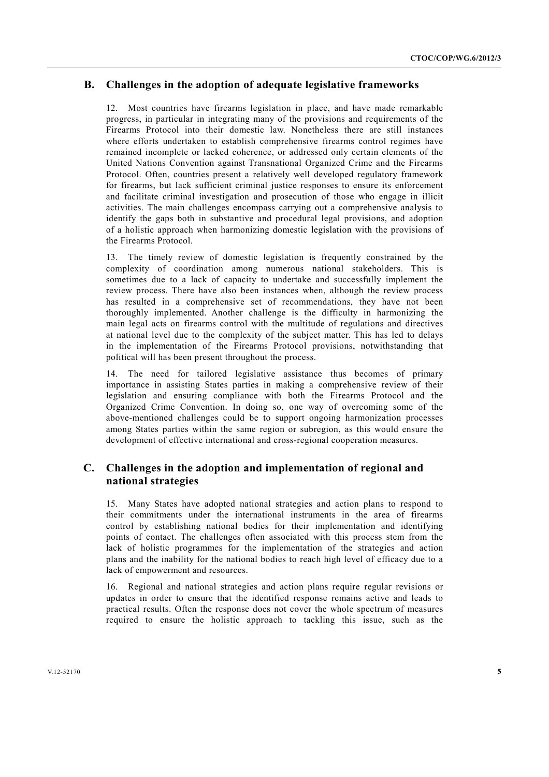# **B. Challenges in the adoption of adequate legislative frameworks**

12. Most countries have firearms legislation in place, and have made remarkable progress, in particular in integrating many of the provisions and requirements of the Firearms Protocol into their domestic law. Nonetheless there are still instances where efforts undertaken to establish comprehensive firearms control regimes have remained incomplete or lacked coherence, or addressed only certain elements of the United Nations Convention against Transnational Organized Crime and the Firearms Protocol. Often, countries present a relatively well developed regulatory framework for firearms, but lack sufficient criminal justice responses to ensure its enforcement and facilitate criminal investigation and prosecution of those who engage in illicit activities. The main challenges encompass carrying out a comprehensive analysis to identify the gaps both in substantive and procedural legal provisions, and adoption of a holistic approach when harmonizing domestic legislation with the provisions of the Firearms Protocol.

13. The timely review of domestic legislation is frequently constrained by the complexity of coordination among numerous national stakeholders. This is sometimes due to a lack of capacity to undertake and successfully implement the review process. There have also been instances when, although the review process has resulted in a comprehensive set of recommendations, they have not been thoroughly implemented. Another challenge is the difficulty in harmonizing the main legal acts on firearms control with the multitude of regulations and directives at national level due to the complexity of the subject matter. This has led to delays in the implementation of the Firearms Protocol provisions, notwithstanding that political will has been present throughout the process.

14. The need for tailored legislative assistance thus becomes of primary importance in assisting States parties in making a comprehensive review of their legislation and ensuring compliance with both the Firearms Protocol and the Organized Crime Convention. In doing so, one way of overcoming some of the above-mentioned challenges could be to support ongoing harmonization processes among States parties within the same region or subregion, as this would ensure the development of effective international and cross-regional cooperation measures.

# **C. Challenges in the adoption and implementation of regional and national strategies**

15. Many States have adopted national strategies and action plans to respond to their commitments under the international instruments in the area of firearms control by establishing national bodies for their implementation and identifying points of contact. The challenges often associated with this process stem from the lack of holistic programmes for the implementation of the strategies and action plans and the inability for the national bodies to reach high level of efficacy due to a lack of empowerment and resources.

16. Regional and national strategies and action plans require regular revisions or updates in order to ensure that the identified response remains active and leads to practical results. Often the response does not cover the whole spectrum of measures required to ensure the holistic approach to tackling this issue, such as the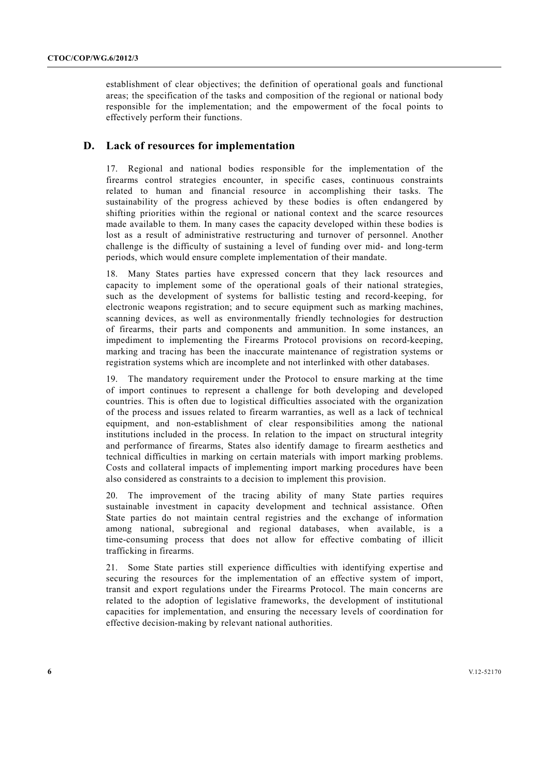establishment of clear objectives; the definition of operational goals and functional areas; the specification of the tasks and composition of the regional or national body responsible for the implementation; and the empowerment of the focal points to effectively perform their functions.

## **D. Lack of resources for implementation**

17. Regional and national bodies responsible for the implementation of the firearms control strategies encounter, in specific cases, continuous constraints related to human and financial resource in accomplishing their tasks. The sustainability of the progress achieved by these bodies is often endangered by shifting priorities within the regional or national context and the scarce resources made available to them. In many cases the capacity developed within these bodies is lost as a result of administrative restructuring and turnover of personnel. Another challenge is the difficulty of sustaining a level of funding over mid- and long-term periods, which would ensure complete implementation of their mandate.

18. Many States parties have expressed concern that they lack resources and capacity to implement some of the operational goals of their national strategies, such as the development of systems for ballistic testing and record-keeping, for electronic weapons registration; and to secure equipment such as marking machines, scanning devices, as well as environmentally friendly technologies for destruction of firearms, their parts and components and ammunition. In some instances, an impediment to implementing the Firearms Protocol provisions on record-keeping, marking and tracing has been the inaccurate maintenance of registration systems or registration systems which are incomplete and not interlinked with other databases.

19. The mandatory requirement under the Protocol to ensure marking at the time of import continues to represent a challenge for both developing and developed countries. This is often due to logistical difficulties associated with the organization of the process and issues related to firearm warranties, as well as a lack of technical equipment, and non-establishment of clear responsibilities among the national institutions included in the process. In relation to the impact on structural integrity and performance of firearms, States also identify damage to firearm aesthetics and technical difficulties in marking on certain materials with import marking problems. Costs and collateral impacts of implementing import marking procedures have been also considered as constraints to a decision to implement this provision.

20. The improvement of the tracing ability of many State parties requires sustainable investment in capacity development and technical assistance. Often State parties do not maintain central registries and the exchange of information among national, subregional and regional databases, when available, is a time-consuming process that does not allow for effective combating of illicit trafficking in firearms.

21. Some State parties still experience difficulties with identifying expertise and securing the resources for the implementation of an effective system of import, transit and export regulations under the Firearms Protocol. The main concerns are related to the adoption of legislative frameworks, the development of institutional capacities for implementation, and ensuring the necessary levels of coordination for effective decision-making by relevant national authorities.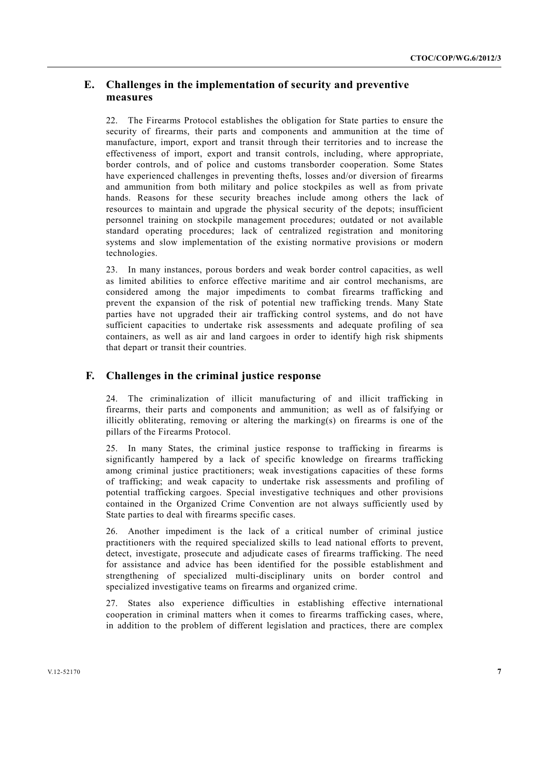# **E. Challenges in the implementation of security and preventive measures**

22. The Firearms Protocol establishes the obligation for State parties to ensure the security of firearms, their parts and components and ammunition at the time of manufacture, import, export and transit through their territories and to increase the effectiveness of import, export and transit controls, including, where appropriate, border controls, and of police and customs transborder cooperation. Some States have experienced challenges in preventing thefts, losses and/or diversion of firearms and ammunition from both military and police stockpiles as well as from private hands. Reasons for these security breaches include among others the lack of resources to maintain and upgrade the physical security of the depots; insufficient personnel training on stockpile management procedures; outdated or not available standard operating procedures; lack of centralized registration and monitoring systems and slow implementation of the existing normative provisions or modern technologies.

23. In many instances, porous borders and weak border control capacities, as well as limited abilities to enforce effective maritime and air control mechanisms, are considered among the major impediments to combat firearms trafficking and prevent the expansion of the risk of potential new trafficking trends. Many State parties have not upgraded their air trafficking control systems, and do not have sufficient capacities to undertake risk assessments and adequate profiling of sea containers, as well as air and land cargoes in order to identify high risk shipments that depart or transit their countries.

## **F. Challenges in the criminal justice response**

24. The criminalization of illicit manufacturing of and illicit trafficking in firearms, their parts and components and ammunition; as well as of falsifying or illicitly obliterating, removing or altering the marking(s) on firearms is one of the pillars of the Firearms Protocol.

25. In many States, the criminal justice response to trafficking in firearms is significantly hampered by a lack of specific knowledge on firearms trafficking among criminal justice practitioners; weak investigations capacities of these forms of trafficking; and weak capacity to undertake risk assessments and profiling of potential trafficking cargoes. Special investigative techniques and other provisions contained in the Organized Crime Convention are not always sufficiently used by State parties to deal with firearms specific cases.

26. Another impediment is the lack of a critical number of criminal justice practitioners with the required specialized skills to lead national efforts to prevent, detect, investigate, prosecute and adjudicate cases of firearms trafficking. The need for assistance and advice has been identified for the possible establishment and strengthening of specialized multi-disciplinary units on border control and specialized investigative teams on firearms and organized crime.

27. States also experience difficulties in establishing effective international cooperation in criminal matters when it comes to firearms trafficking cases, where, in addition to the problem of different legislation and practices, there are complex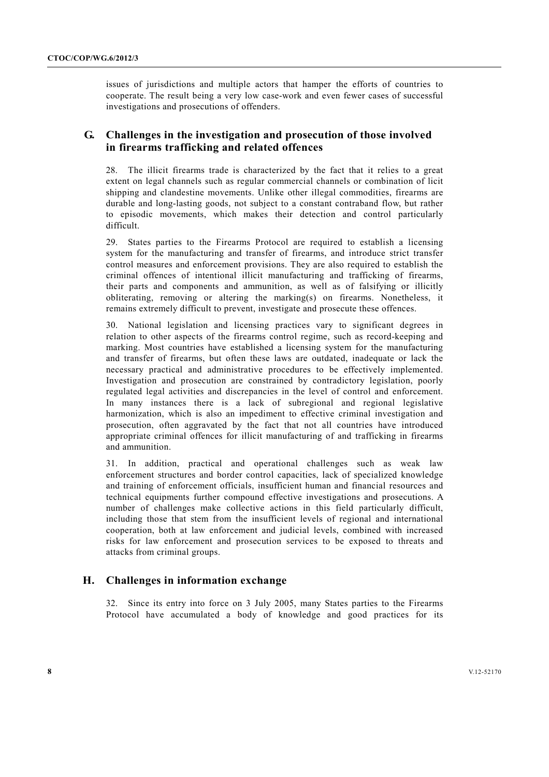issues of jurisdictions and multiple actors that hamper the efforts of countries to cooperate. The result being a very low case-work and even fewer cases of successful investigations and prosecutions of offenders.

## **G. Challenges in the investigation and prosecution of those involved in firearms trafficking and related offences**

28. The illicit firearms trade is characterized by the fact that it relies to a great extent on legal channels such as regular commercial channels or combination of licit shipping and clandestine movements. Unlike other illegal commodities, firearms are durable and long-lasting goods, not subject to a constant contraband flow, but rather to episodic movements, which makes their detection and control particularly difficult.

29. States parties to the Firearms Protocol are required to establish a licensing system for the manufacturing and transfer of firearms, and introduce strict transfer control measures and enforcement provisions. They are also required to establish the criminal offences of intentional illicit manufacturing and trafficking of firearms, their parts and components and ammunition, as well as of falsifying or illicitly obliterating, removing or altering the marking(s) on firearms. Nonetheless, it remains extremely difficult to prevent, investigate and prosecute these offences.

30. National legislation and licensing practices vary to significant degrees in relation to other aspects of the firearms control regime, such as record-keeping and marking. Most countries have established a licensing system for the manufacturing and transfer of firearms, but often these laws are outdated, inadequate or lack the necessary practical and administrative procedures to be effectively implemented. Investigation and prosecution are constrained by contradictory legislation, poorly regulated legal activities and discrepancies in the level of control and enforcement. In many instances there is a lack of subregional and regional legislative harmonization, which is also an impediment to effective criminal investigation and prosecution, often aggravated by the fact that not all countries have introduced appropriate criminal offences for illicit manufacturing of and trafficking in firearms and ammunition.

31. In addition, practical and operational challenges such as weak law enforcement structures and border control capacities, lack of specialized knowledge and training of enforcement officials, insufficient human and financial resources and technical equipments further compound effective investigations and prosecutions. A number of challenges make collective actions in this field particularly difficult, including those that stem from the insufficient levels of regional and international cooperation, both at law enforcement and judicial levels, combined with increased risks for law enforcement and prosecution services to be exposed to threats and attacks from criminal groups.

## **H. Challenges in information exchange**

32. Since its entry into force on 3 July 2005, many States parties to the Firearms Protocol have accumulated a body of knowledge and good practices for its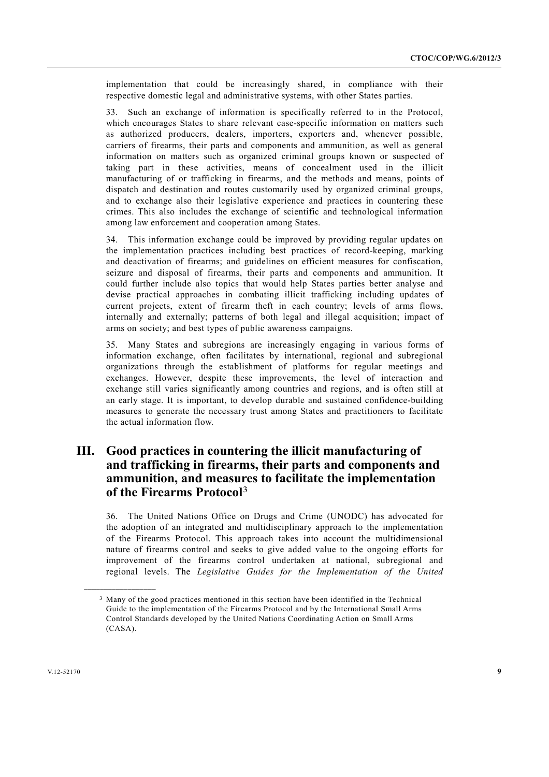implementation that could be increasingly shared, in compliance with their respective domestic legal and administrative systems, with other States parties.

33. Such an exchange of information is specifically referred to in the Protocol, which encourages States to share relevant case-specific information on matters such as authorized producers, dealers, importers, exporters and, whenever possible, carriers of firearms, their parts and components and ammunition, as well as general information on matters such as organized criminal groups known or suspected of taking part in these activities, means of concealment used in the illicit manufacturing of or trafficking in firearms, and the methods and means, points of dispatch and destination and routes customarily used by organized criminal groups, and to exchange also their legislative experience and practices in countering these crimes. This also includes the exchange of scientific and technological information among law enforcement and cooperation among States.

34. This information exchange could be improved by providing regular updates on the implementation practices including best practices of record-keeping, marking and deactivation of firearms; and guidelines on efficient measures for confiscation, seizure and disposal of firearms, their parts and components and ammunition. It could further include also topics that would help States parties better analyse and devise practical approaches in combating illicit trafficking including updates of current projects, extent of firearm theft in each country; levels of arms flows, internally and externally; patterns of both legal and illegal acquisition; impact of arms on society; and best types of public awareness campaigns.

35. Many States and subregions are increasingly engaging in various forms of information exchange, often facilitates by international, regional and subregional organizations through the establishment of platforms for regular meetings and exchanges. However, despite these improvements, the level of interaction and exchange still varies significantly among countries and regions, and is often still at an early stage. It is important, to develop durable and sustained confidence-building measures to generate the necessary trust among States and practitioners to facilitate the actual information flow.

# **III. Good practices in countering the illicit manufacturing of and trafficking in firearms, their parts and components and ammunition, and measures to facilitate the implementation of the Firearms Protocol**<sup>3</sup>

36. The United Nations Office on Drugs and Crime (UNODC) has advocated for the adoption of an integrated and multidisciplinary approach to the implementation of the Firearms Protocol. This approach takes into account the multidimensional nature of firearms control and seeks to give added value to the ongoing efforts for improvement of the firearms control undertaken at national, subregional and regional levels. The *Legislative Guides for the Implementation of the United* 

**\_\_\_\_\_\_\_\_\_\_\_\_\_\_\_\_\_\_** 

<sup>3</sup> Many of the good practices mentioned in this section have been identified in the Technical Guide to the implementation of the Firearms Protocol and by the International Small Arms Control Standards developed by the United Nations Coordinating Action on Small Arms (CASA).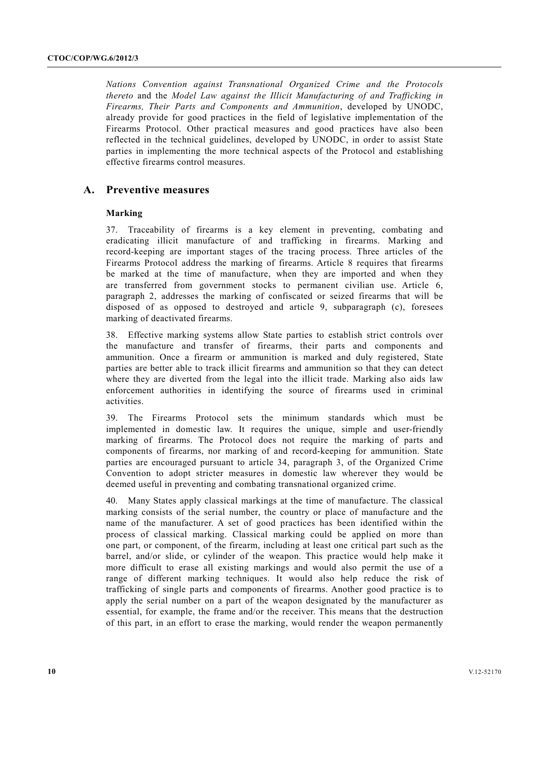*Nations Convention against Transnational Organized Crime and the Protocols thereto* and the *Model Law against the Illicit Manufacturing of and Trafficking in Firearms, Their Parts and Components and Ammunition*, developed by UNODC, already provide for good practices in the field of legislative implementation of the Firearms Protocol. Other practical measures and good practices have also been reflected in the technical guidelines, developed by UNODC, in order to assist State parties in implementing the more technical aspects of the Protocol and establishing effective firearms control measures.

### **A. Preventive measures**

#### **Marking**

37. Traceability of firearms is a key element in preventing, combating and eradicating illicit manufacture of and trafficking in firearms. Marking and record-keeping are important stages of the tracing process. Three articles of the Firearms Protocol address the marking of firearms. Article 8 requires that firearms be marked at the time of manufacture, when they are imported and when they are transferred from government stocks to permanent civilian use. Article 6, paragraph 2, addresses the marking of confiscated or seized firearms that will be disposed of as opposed to destroyed and article 9, subparagraph (c), foresees marking of deactivated firearms.

38. Effective marking systems allow State parties to establish strict controls over the manufacture and transfer of firearms, their parts and components and ammunition. Once a firearm or ammunition is marked and duly registered, State parties are better able to track illicit firearms and ammunition so that they can detect where they are diverted from the legal into the illicit trade. Marking also aids law enforcement authorities in identifying the source of firearms used in criminal activities.

39. The Firearms Protocol sets the minimum standards which must be implemented in domestic law. It requires the unique, simple and user-friendly marking of firearms. The Protocol does not require the marking of parts and components of firearms, nor marking of and record-keeping for ammunition. State parties are encouraged pursuant to article 34, paragraph 3, of the Organized Crime Convention to adopt stricter measures in domestic law wherever they would be deemed useful in preventing and combating transnational organized crime.

40. Many States apply classical markings at the time of manufacture. The classical marking consists of the serial number, the country or place of manufacture and the name of the manufacturer. A set of good practices has been identified within the process of classical marking. Classical marking could be applied on more than one part, or component, of the firearm, including at least one critical part such as the barrel, and/or slide, or cylinder of the weapon. This practice would help make it more difficult to erase all existing markings and would also permit the use of a range of different marking techniques. It would also help reduce the risk of trafficking of single parts and components of firearms. Another good practice is to apply the serial number on a part of the weapon designated by the manufacturer as essential, for example, the frame and/or the receiver. This means that the destruction of this part, in an effort to erase the marking, would render the weapon permanently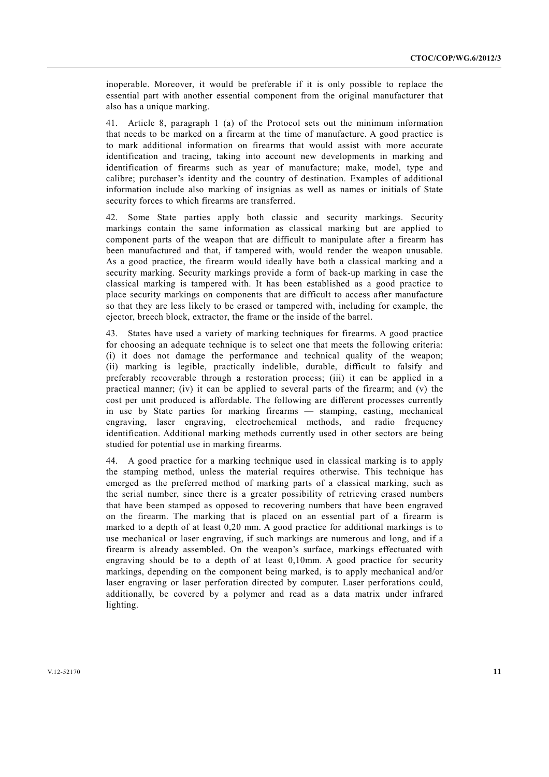inoperable. Moreover, it would be preferable if it is only possible to replace the essential part with another essential component from the original manufacturer that also has a unique marking.

41. Article 8, paragraph 1 (a) of the Protocol sets out the minimum information that needs to be marked on a firearm at the time of manufacture. A good practice is to mark additional information on firearms that would assist with more accurate identification and tracing, taking into account new developments in marking and identification of firearms such as year of manufacture; make, model, type and calibre; purchaser's identity and the country of destination. Examples of additional information include also marking of insignias as well as names or initials of State security forces to which firearms are transferred.

42. Some State parties apply both classic and security markings. Security markings contain the same information as classical marking but are applied to component parts of the weapon that are difficult to manipulate after a firearm has been manufactured and that, if tampered with, would render the weapon unusable. As a good practice, the firearm would ideally have both a classical marking and a security marking. Security markings provide a form of back-up marking in case the classical marking is tampered with. It has been established as a good practice to place security markings on components that are difficult to access after manufacture so that they are less likely to be erased or tampered with, including for example, the ejector, breech block, extractor, the frame or the inside of the barrel.

43. States have used a variety of marking techniques for firearms. A good practice for choosing an adequate technique is to select one that meets the following criteria: (i) it does not damage the performance and technical quality of the weapon; (ii) marking is legible, practically indelible, durable, difficult to falsify and preferably recoverable through a restoration process; (iii) it can be applied in a practical manner; (iv) it can be applied to several parts of the firearm; and (v) the cost per unit produced is affordable. The following are different processes currently in use by State parties for marking firearms — stamping, casting, mechanical engraving, laser engraving, electrochemical methods, and radio frequency identification. Additional marking methods currently used in other sectors are being studied for potential use in marking firearms.

44. A good practice for a marking technique used in classical marking is to apply the stamping method, unless the material requires otherwise. This technique has emerged as the preferred method of marking parts of a classical marking, such as the serial number, since there is a greater possibility of retrieving erased numbers that have been stamped as opposed to recovering numbers that have been engraved on the firearm. The marking that is placed on an essential part of a firearm is marked to a depth of at least 0,20 mm. A good practice for additional markings is to use mechanical or laser engraving, if such markings are numerous and long, and if a firearm is already assembled. On the weapon's surface, markings effectuated with engraving should be to a depth of at least 0,10mm. A good practice for security markings, depending on the component being marked, is to apply mechanical and/or laser engraving or laser perforation directed by computer. Laser perforations could, additionally, be covered by a polymer and read as a data matrix under infrared lighting.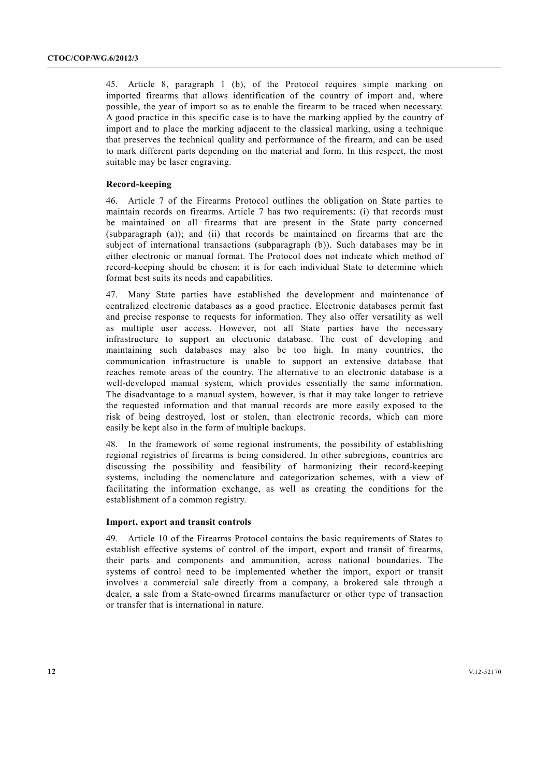45. Article 8, paragraph 1 (b), of the Protocol requires simple marking on imported firearms that allows identification of the country of import and, where possible, the year of import so as to enable the firearm to be traced when necessary. A good practice in this specific case is to have the marking applied by the country of import and to place the marking adjacent to the classical marking, using a technique that preserves the technical quality and performance of the firearm, and can be used to mark different parts depending on the material and form. In this respect, the most suitable may be laser engraving.

#### **Record-keeping**

46. Article 7 of the Firearms Protocol outlines the obligation on State parties to maintain records on firearms. Article 7 has two requirements: (i) that records must be maintained on all firearms that are present in the State party concerned (subparagraph (a)); and (ii) that records be maintained on firearms that are the subject of international transactions (subparagraph (b)). Such databases may be in either electronic or manual format. The Protocol does not indicate which method of record-keeping should be chosen; it is for each individual State to determine which format best suits its needs and capabilities.

47. Many State parties have established the development and maintenance of centralized electronic databases as a good practice. Electronic databases permit fast and precise response to requests for information. They also offer versatility as well as multiple user access. However, not all State parties have the necessary infrastructure to support an electronic database. The cost of developing and maintaining such databases may also be too high. In many countries, the communication infrastructure is unable to support an extensive database that reaches remote areas of the country. The alternative to an electronic database is a well-developed manual system, which provides essentially the same information. The disadvantage to a manual system, however, is that it may take longer to retrieve the requested information and that manual records are more easily exposed to the risk of being destroyed, lost or stolen, than electronic records, which can more easily be kept also in the form of multiple backups.

48. In the framework of some regional instruments, the possibility of establishing regional registries of firearms is being considered. In other subregions, countries are discussing the possibility and feasibility of harmonizing their record-keeping systems, including the nomenclature and categorization schemes, with a view of facilitating the information exchange, as well as creating the conditions for the establishment of a common registry.

#### **Import, export and transit controls**

49. Article 10 of the Firearms Protocol contains the basic requirements of States to establish effective systems of control of the import, export and transit of firearms, their parts and components and ammunition, across national boundaries. The systems of control need to be implemented whether the import, export or transit involves a commercial sale directly from a company, a brokered sale through a dealer, a sale from a State-owned firearms manufacturer or other type of transaction or transfer that is international in nature.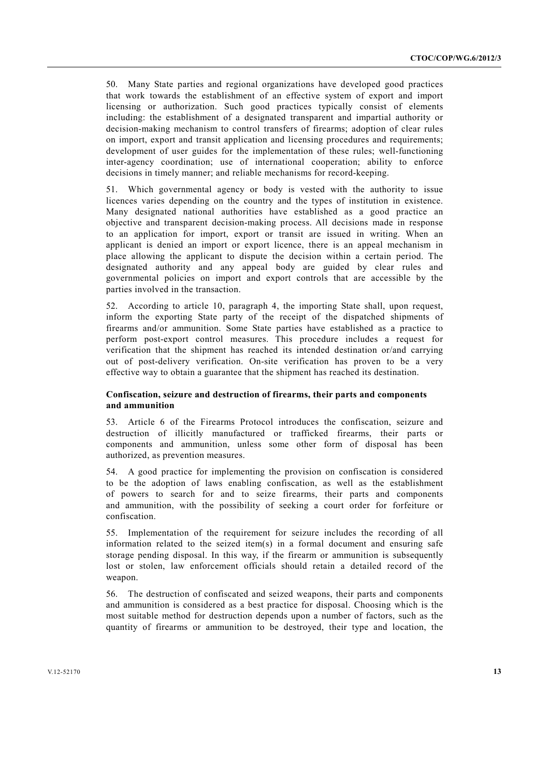50. Many State parties and regional organizations have developed good practices that work towards the establishment of an effective system of export and import licensing or authorization. Such good practices typically consist of elements including: the establishment of a designated transparent and impartial authority or decision-making mechanism to control transfers of firearms; adoption of clear rules on import, export and transit application and licensing procedures and requirements; development of user guides for the implementation of these rules; well-functioning inter-agency coordination; use of international cooperation; ability to enforce decisions in timely manner; and reliable mechanisms for record-keeping.

51. Which governmental agency or body is vested with the authority to issue licences varies depending on the country and the types of institution in existence. Many designated national authorities have established as a good practice an objective and transparent decision-making process. All decisions made in response to an application for import, export or transit are issued in writing. When an applicant is denied an import or export licence, there is an appeal mechanism in place allowing the applicant to dispute the decision within a certain period. The designated authority and any appeal body are guided by clear rules and governmental policies on import and export controls that are accessible by the parties involved in the transaction.

52. According to article 10, paragraph 4, the importing State shall, upon request, inform the exporting State party of the receipt of the dispatched shipments of firearms and/or ammunition. Some State parties have established as a practice to perform post-export control measures. This procedure includes a request for verification that the shipment has reached its intended destination or/and carrying out of post-delivery verification. On-site verification has proven to be a very effective way to obtain a guarantee that the shipment has reached its destination.

#### **Confiscation, seizure and destruction of firearms, their parts and components and ammunition**

53. Article 6 of the Firearms Protocol introduces the confiscation, seizure and destruction of illicitly manufactured or trafficked firearms, their parts or components and ammunition, unless some other form of disposal has been authorized, as prevention measures.

54. A good practice for implementing the provision on confiscation is considered to be the adoption of laws enabling confiscation, as well as the establishment of powers to search for and to seize firearms, their parts and components and ammunition, with the possibility of seeking a court order for forfeiture or confiscation.

55. Implementation of the requirement for seizure includes the recording of all information related to the seized item(s) in a formal document and ensuring safe storage pending disposal. In this way, if the firearm or ammunition is subsequently lost or stolen, law enforcement officials should retain a detailed record of the weapon.

56. The destruction of confiscated and seized weapons, their parts and components and ammunition is considered as a best practice for disposal. Choosing which is the most suitable method for destruction depends upon a number of factors, such as the quantity of firearms or ammunition to be destroyed, their type and location, the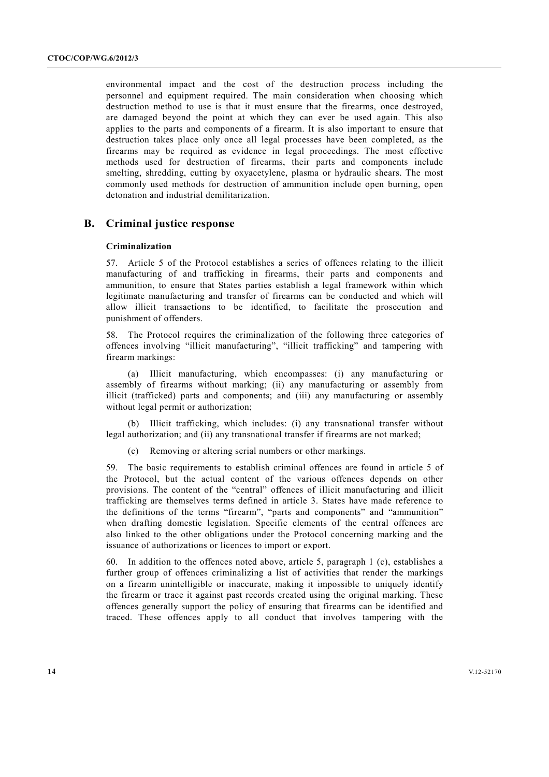environmental impact and the cost of the destruction process including the personnel and equipment required. The main consideration when choosing which destruction method to use is that it must ensure that the firearms, once destroyed, are damaged beyond the point at which they can ever be used again. This also applies to the parts and components of a firearm. It is also important to ensure that destruction takes place only once all legal processes have been completed, as the firearms may be required as evidence in legal proceedings. The most effective methods used for destruction of firearms, their parts and components include smelting, shredding, cutting by oxyacetylene, plasma or hydraulic shears. The most commonly used methods for destruction of ammunition include open burning, open detonation and industrial demilitarization.

## **B. Criminal justice response**

#### **Criminalization**

57. Article 5 of the Protocol establishes a series of offences relating to the illicit manufacturing of and trafficking in firearms, their parts and components and ammunition, to ensure that States parties establish a legal framework within which legitimate manufacturing and transfer of firearms can be conducted and which will allow illicit transactions to be identified, to facilitate the prosecution and punishment of offenders.

58. The Protocol requires the criminalization of the following three categories of offences involving "illicit manufacturing", "illicit trafficking" and tampering with firearm markings:

 (a) Illicit manufacturing, which encompasses: (i) any manufacturing or assembly of firearms without marking; (ii) any manufacturing or assembly from illicit (trafficked) parts and components; and (iii) any manufacturing or assembly without legal permit or authorization;

 (b) Illicit trafficking, which includes: (i) any transnational transfer without legal authorization; and (ii) any transnational transfer if firearms are not marked;

(c) Removing or altering serial numbers or other markings.

59. The basic requirements to establish criminal offences are found in article 5 of the Protocol, but the actual content of the various offences depends on other provisions. The content of the "central" offences of illicit manufacturing and illicit trafficking are themselves terms defined in article 3. States have made reference to the definitions of the terms "firearm", "parts and components" and "ammunition" when drafting domestic legislation. Specific elements of the central offences are also linked to the other obligations under the Protocol concerning marking and the issuance of authorizations or licences to import or export.

60. In addition to the offences noted above, article 5, paragraph 1 (c), establishes a further group of offences criminalizing a list of activities that render the markings on a firearm unintelligible or inaccurate, making it impossible to uniquely identify the firearm or trace it against past records created using the original marking. These offences generally support the policy of ensuring that firearms can be identified and traced. These offences apply to all conduct that involves tampering with the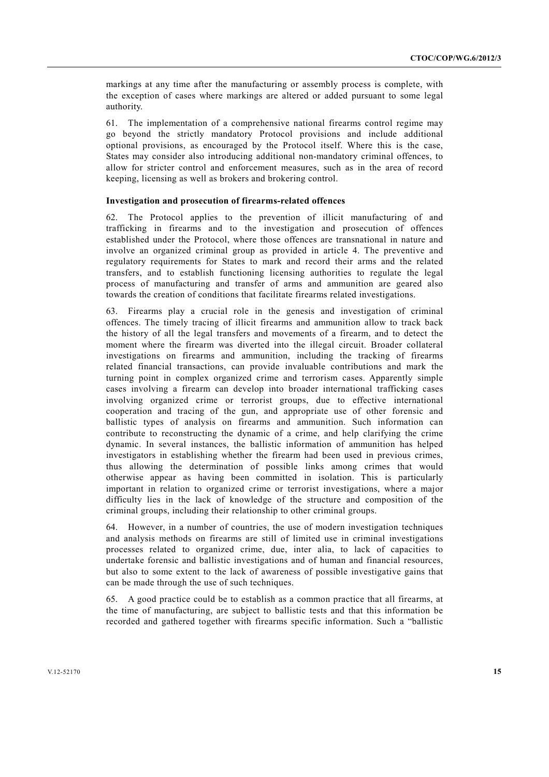markings at any time after the manufacturing or assembly process is complete, with the exception of cases where markings are altered or added pursuant to some legal authority.

61. The implementation of a comprehensive national firearms control regime may go beyond the strictly mandatory Protocol provisions and include additional optional provisions, as encouraged by the Protocol itself. Where this is the case, States may consider also introducing additional non-mandatory criminal offences, to allow for stricter control and enforcement measures, such as in the area of record keeping, licensing as well as brokers and brokering control.

### **Investigation and prosecution of firearms-related offences**

62. The Protocol applies to the prevention of illicit manufacturing of and trafficking in firearms and to the investigation and prosecution of offences established under the Protocol, where those offences are transnational in nature and involve an organized criminal group as provided in article 4. The preventive and regulatory requirements for States to mark and record their arms and the related transfers, and to establish functioning licensing authorities to regulate the legal process of manufacturing and transfer of arms and ammunition are geared also towards the creation of conditions that facilitate firearms related investigations.

63. Firearms play a crucial role in the genesis and investigation of criminal offences. The timely tracing of illicit firearms and ammunition allow to track back the history of all the legal transfers and movements of a firearm, and to detect the moment where the firearm was diverted into the illegal circuit. Broader collateral investigations on firearms and ammunition, including the tracking of firearms related financial transactions, can provide invaluable contributions and mark the turning point in complex organized crime and terrorism cases. Apparently simple cases involving a firearm can develop into broader international trafficking cases involving organized crime or terrorist groups, due to effective international cooperation and tracing of the gun, and appropriate use of other forensic and ballistic types of analysis on firearms and ammunition. Such information can contribute to reconstructing the dynamic of a crime, and help clarifying the crime dynamic. In several instances, the ballistic information of ammunition has helped investigators in establishing whether the firearm had been used in previous crimes, thus allowing the determination of possible links among crimes that would otherwise appear as having been committed in isolation. This is particularly important in relation to organized crime or terrorist investigations, where a major difficulty lies in the lack of knowledge of the structure and composition of the criminal groups, including their relationship to other criminal groups.

64. However, in a number of countries, the use of modern investigation techniques and analysis methods on firearms are still of limited use in criminal investigations processes related to organized crime, due, inter alia, to lack of capacities to undertake forensic and ballistic investigations and of human and financial resources, but also to some extent to the lack of awareness of possible investigative gains that can be made through the use of such techniques.

65. A good practice could be to establish as a common practice that all firearms, at the time of manufacturing, are subject to ballistic tests and that this information be recorded and gathered together with firearms specific information. Such a "ballistic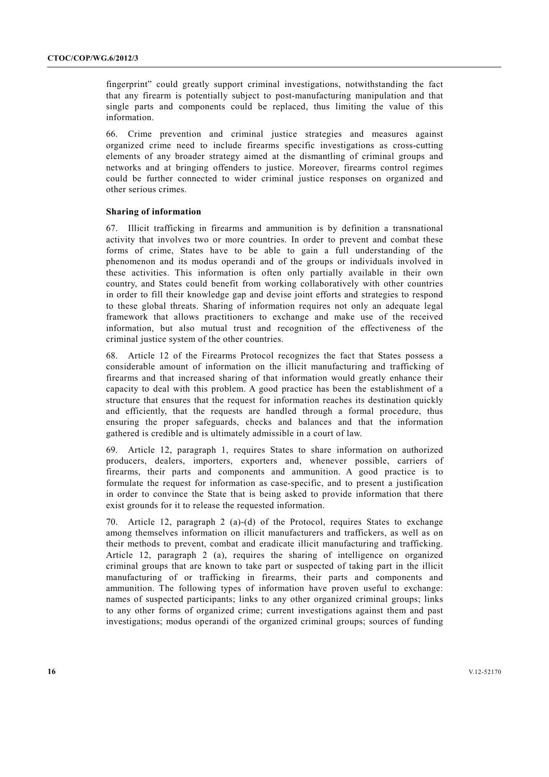fingerprint" could greatly support criminal investigations, notwithstanding the fact that any firearm is potentially subject to post-manufacturing manipulation and that single parts and components could be replaced, thus limiting the value of this information.

66. Crime prevention and criminal justice strategies and measures against organized crime need to include firearms specific investigations as cross-cutting elements of any broader strategy aimed at the dismantling of criminal groups and networks and at bringing offenders to justice. Moreover, firearms control regimes could be further connected to wider criminal justice responses on organized and other serious crimes.

#### **Sharing of information**

67. Illicit trafficking in firearms and ammunition is by definition a transnational activity that involves two or more countries. In order to prevent and combat these forms of crime, States have to be able to gain a full understanding of the phenomenon and its modus operandi and of the groups or individuals involved in these activities. This information is often only partially available in their own country, and States could benefit from working collaboratively with other countries in order to fill their knowledge gap and devise joint efforts and strategies to respond to these global threats. Sharing of information requires not only an adequate legal framework that allows practitioners to exchange and make use of the received information, but also mutual trust and recognition of the effectiveness of the criminal justice system of the other countries.

68. Article 12 of the Firearms Protocol recognizes the fact that States possess a considerable amount of information on the illicit manufacturing and trafficking of firearms and that increased sharing of that information would greatly enhance their capacity to deal with this problem. A good practice has been the establishment of a structure that ensures that the request for information reaches its destination quickly and efficiently, that the requests are handled through a formal procedure, thus ensuring the proper safeguards, checks and balances and that the information gathered is credible and is ultimately admissible in a court of law.

69. Article 12, paragraph 1, requires States to share information on authorized producers, dealers, importers, exporters and, whenever possible, carriers of firearms, their parts and components and ammunition. A good practice is to formulate the request for information as case-specific, and to present a justification in order to convince the State that is being asked to provide information that there exist grounds for it to release the requested information.

70. Article 12, paragraph 2 (a)-(d) of the Protocol, requires States to exchange among themselves information on illicit manufacturers and traffickers, as well as on their methods to prevent, combat and eradicate illicit manufacturing and trafficking. Article 12, paragraph 2 (a), requires the sharing of intelligence on organized criminal groups that are known to take part or suspected of taking part in the illicit manufacturing of or trafficking in firearms, their parts and components and ammunition. The following types of information have proven useful to exchange: names of suspected participants; links to any other organized criminal groups; links to any other forms of organized crime; current investigations against them and past investigations; modus operandi of the organized criminal groups; sources of funding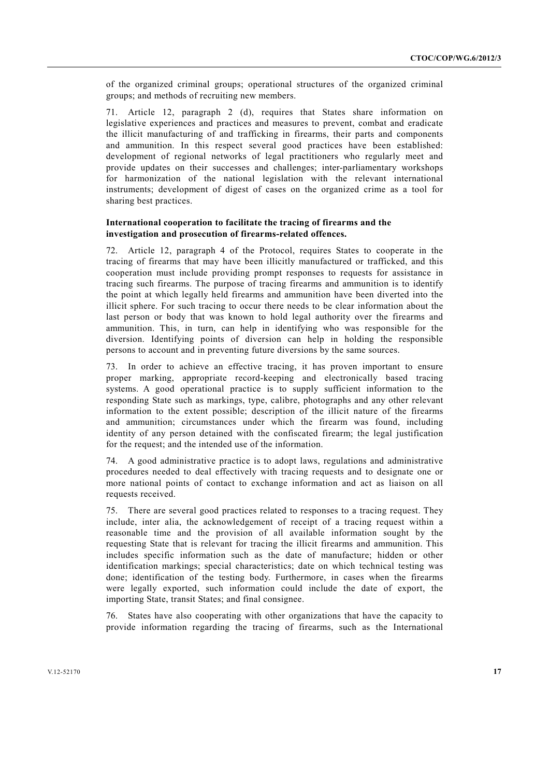of the organized criminal groups; operational structures of the organized criminal groups; and methods of recruiting new members.

71. Article 12, paragraph 2 (d), requires that States share information on legislative experiences and practices and measures to prevent, combat and eradicate the illicit manufacturing of and trafficking in firearms, their parts and components and ammunition. In this respect several good practices have been established: development of regional networks of legal practitioners who regularly meet and provide updates on their successes and challenges; inter-parliamentary workshops for harmonization of the national legislation with the relevant international instruments; development of digest of cases on the organized crime as a tool for sharing best practices.

#### **International cooperation to facilitate the tracing of firearms and the investigation and prosecution of firearms-related offences.**

72. Article 12, paragraph 4 of the Protocol, requires States to cooperate in the tracing of firearms that may have been illicitly manufactured or trafficked, and this cooperation must include providing prompt responses to requests for assistance in tracing such firearms. The purpose of tracing firearms and ammunition is to identify the point at which legally held firearms and ammunition have been diverted into the illicit sphere. For such tracing to occur there needs to be clear information about the last person or body that was known to hold legal authority over the firearms and ammunition. This, in turn, can help in identifying who was responsible for the diversion. Identifying points of diversion can help in holding the responsible persons to account and in preventing future diversions by the same sources.

73. In order to achieve an effective tracing, it has proven important to ensure proper marking, appropriate record-keeping and electronically based tracing systems. A good operational practice is to supply sufficient information to the responding State such as markings, type, calibre, photographs and any other relevant information to the extent possible; description of the illicit nature of the firearms and ammunition; circumstances under which the firearm was found, including identity of any person detained with the confiscated firearm; the legal justification for the request; and the intended use of the information.

74. A good administrative practice is to adopt laws, regulations and administrative procedures needed to deal effectively with tracing requests and to designate one or more national points of contact to exchange information and act as liaison on all requests received.

75. There are several good practices related to responses to a tracing request. They include, inter alia, the acknowledgement of receipt of a tracing request within a reasonable time and the provision of all available information sought by the requesting State that is relevant for tracing the illicit firearms and ammunition. This includes specific information such as the date of manufacture; hidden or other identification markings; special characteristics; date on which technical testing was done; identification of the testing body. Furthermore, in cases when the firearms were legally exported, such information could include the date of export, the importing State, transit States; and final consignee.

76. States have also cooperating with other organizations that have the capacity to provide information regarding the tracing of firearms, such as the International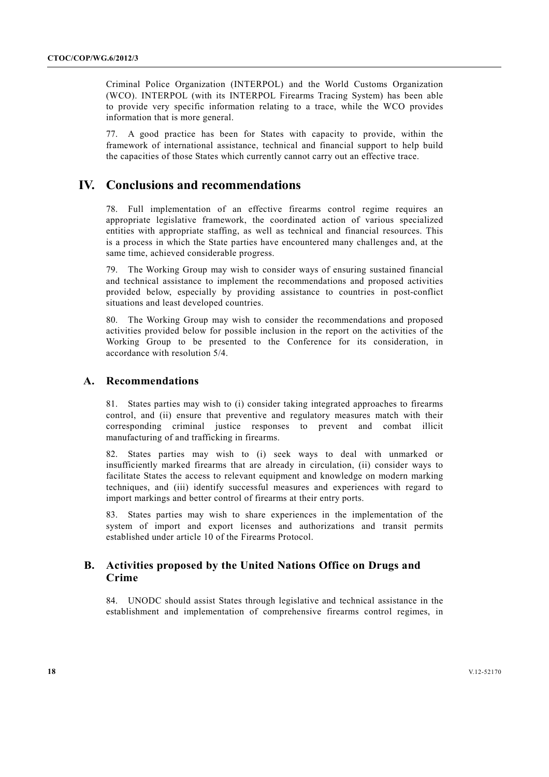Criminal Police Organization (INTERPOL) and the World Customs Organization (WCO). INTERPOL (with its INTERPOL Firearms Tracing System) has been able to provide very specific information relating to a trace, while the WCO provides information that is more general.

77. A good practice has been for States with capacity to provide, within the framework of international assistance, technical and financial support to help build the capacities of those States which currently cannot carry out an effective trace.

# **IV. Conclusions and recommendations**

78. Full implementation of an effective firearms control regime requires an appropriate legislative framework, the coordinated action of various specialized entities with appropriate staffing, as well as technical and financial resources. This is a process in which the State parties have encountered many challenges and, at the same time, achieved considerable progress.

79. The Working Group may wish to consider ways of ensuring sustained financial and technical assistance to implement the recommendations and proposed activities provided below, especially by providing assistance to countries in post-conflict situations and least developed countries.

80. The Working Group may wish to consider the recommendations and proposed activities provided below for possible inclusion in the report on the activities of the Working Group to be presented to the Conference for its consideration, in accordance with resolution 5/4.

#### **A. Recommendations**

81. States parties may wish to (i) consider taking integrated approaches to firearms control, and (ii) ensure that preventive and regulatory measures match with their corresponding criminal justice responses to prevent and combat illicit manufacturing of and trafficking in firearms.

82. States parties may wish to (i) seek ways to deal with unmarked or insufficiently marked firearms that are already in circulation, (ii) consider ways to facilitate States the access to relevant equipment and knowledge on modern marking techniques, and (iii) identify successful measures and experiences with regard to import markings and better control of firearms at their entry ports.

83. States parties may wish to share experiences in the implementation of the system of import and export licenses and authorizations and transit permits established under article 10 of the Firearms Protocol.

## **B. Activities proposed by the United Nations Office on Drugs and Crime**

84. UNODC should assist States through legislative and technical assistance in the establishment and implementation of comprehensive firearms control regimes, in